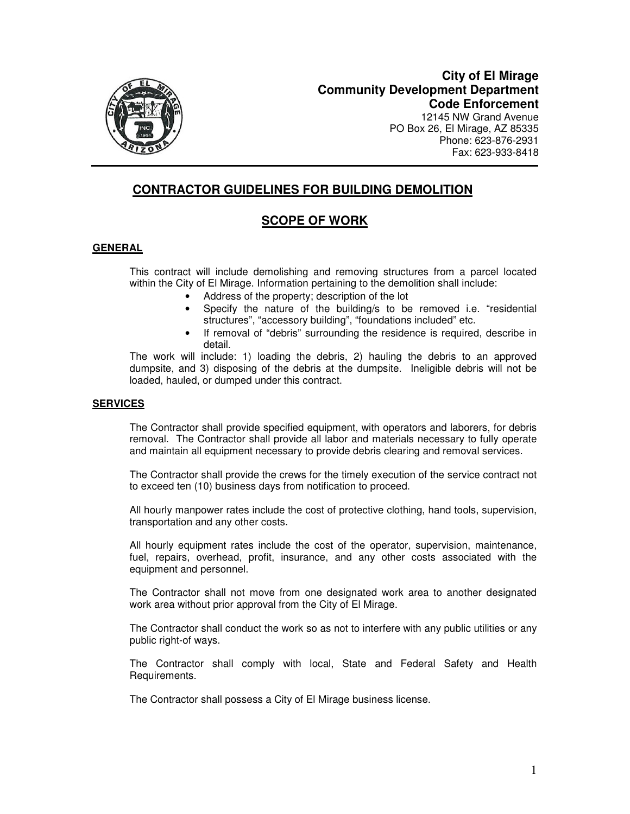

12145 NW Grand Avenue PO Box 26, El Mirage, AZ 85335 Phone: 623-876-2931 Fax: 623-933-8418

# **CONTRACTOR GUIDELINES FOR BUILDING DEMOLITION**

# **SCOPE OF WORK**

## **GENERAL**

This contract will include demolishing and removing structures from a parcel located within the City of El Mirage. Information pertaining to the demolition shall include:

- Address of the property; description of the lot
- Specify the nature of the building/s to be removed i.e. "residential structures", "accessory building", "foundations included" etc.
- If removal of "debris" surrounding the residence is required, describe in detail.

The work will include: 1) loading the debris, 2) hauling the debris to an approved dumpsite, and 3) disposing of the debris at the dumpsite. Ineligible debris will not be loaded, hauled, or dumped under this contract.

## **SERVICES**

The Contractor shall provide specified equipment, with operators and laborers, for debris removal. The Contractor shall provide all labor and materials necessary to fully operate and maintain all equipment necessary to provide debris clearing and removal services.

The Contractor shall provide the crews for the timely execution of the service contract not to exceed ten (10) business days from notification to proceed.

All hourly manpower rates include the cost of protective clothing, hand tools, supervision, transportation and any other costs.

All hourly equipment rates include the cost of the operator, supervision, maintenance, fuel, repairs, overhead, profit, insurance, and any other costs associated with the equipment and personnel.

The Contractor shall not move from one designated work area to another designated work area without prior approval from the City of El Mirage.

The Contractor shall conduct the work so as not to interfere with any public utilities or any public right-of ways.

The Contractor shall comply with local, State and Federal Safety and Health Requirements.

The Contractor shall possess a City of El Mirage business license.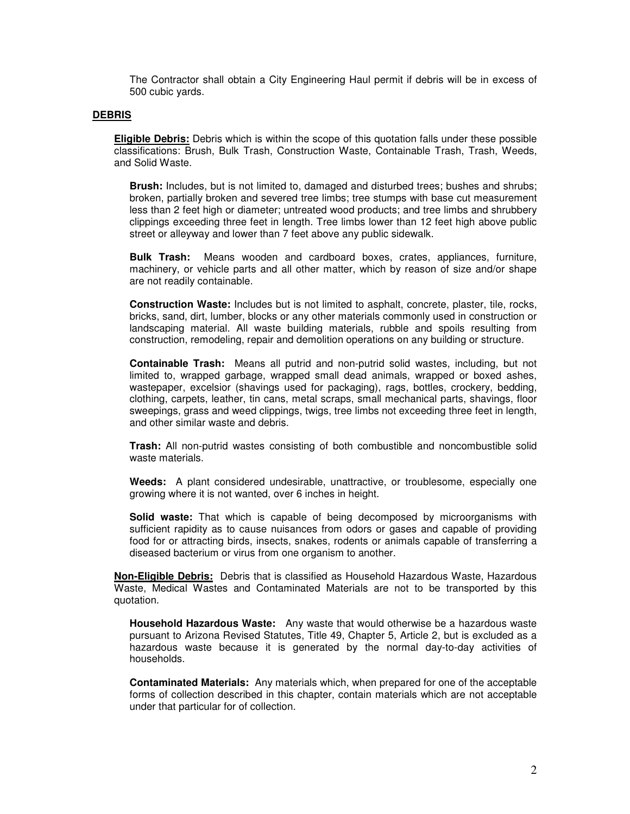The Contractor shall obtain a City Engineering Haul permit if debris will be in excess of 500 cubic yards.

#### **DEBRIS**

**Eligible Debris:** Debris which is within the scope of this quotation falls under these possible classifications: Brush, Bulk Trash, Construction Waste, Containable Trash, Trash, Weeds, and Solid Waste.

**Brush:** Includes, but is not limited to, damaged and disturbed trees; bushes and shrubs; broken, partially broken and severed tree limbs; tree stumps with base cut measurement less than 2 feet high or diameter; untreated wood products; and tree limbs and shrubbery clippings exceeding three feet in length. Tree limbs lower than 12 feet high above public street or alleyway and lower than 7 feet above any public sidewalk.

**Bulk Trash:** Means wooden and cardboard boxes, crates, appliances, furniture, machinery, or vehicle parts and all other matter, which by reason of size and/or shape are not readily containable.

**Construction Waste:** Includes but is not limited to asphalt, concrete, plaster, tile, rocks, bricks, sand, dirt, lumber, blocks or any other materials commonly used in construction or landscaping material. All waste building materials, rubble and spoils resulting from construction, remodeling, repair and demolition operations on any building or structure.

**Containable Trash:** Means all putrid and non-putrid solid wastes, including, but not limited to, wrapped garbage, wrapped small dead animals, wrapped or boxed ashes, wastepaper, excelsior (shavings used for packaging), rags, bottles, crockery, bedding, clothing, carpets, leather, tin cans, metal scraps, small mechanical parts, shavings, floor sweepings, grass and weed clippings, twigs, tree limbs not exceeding three feet in length, and other similar waste and debris.

**Trash:** All non-putrid wastes consisting of both combustible and noncombustible solid waste materials.

**Weeds:** A plant considered undesirable, unattractive, or troublesome, especially one growing where it is not wanted, over 6 inches in height.

**Solid waste:** That which is capable of being decomposed by microorganisms with sufficient rapidity as to cause nuisances from odors or gases and capable of providing food for or attracting birds, insects, snakes, rodents or animals capable of transferring a diseased bacterium or virus from one organism to another.

**Non-Eligible Debris:** Debris that is classified as Household Hazardous Waste, Hazardous Waste, Medical Wastes and Contaminated Materials are not to be transported by this quotation.

**Household Hazardous Waste:** Any waste that would otherwise be a hazardous waste pursuant to Arizona Revised Statutes, Title 49, Chapter 5, Article 2, but is excluded as a hazardous waste because it is generated by the normal day-to-day activities of households.

**Contaminated Materials:** Any materials which, when prepared for one of the acceptable forms of collection described in this chapter, contain materials which are not acceptable under that particular for of collection.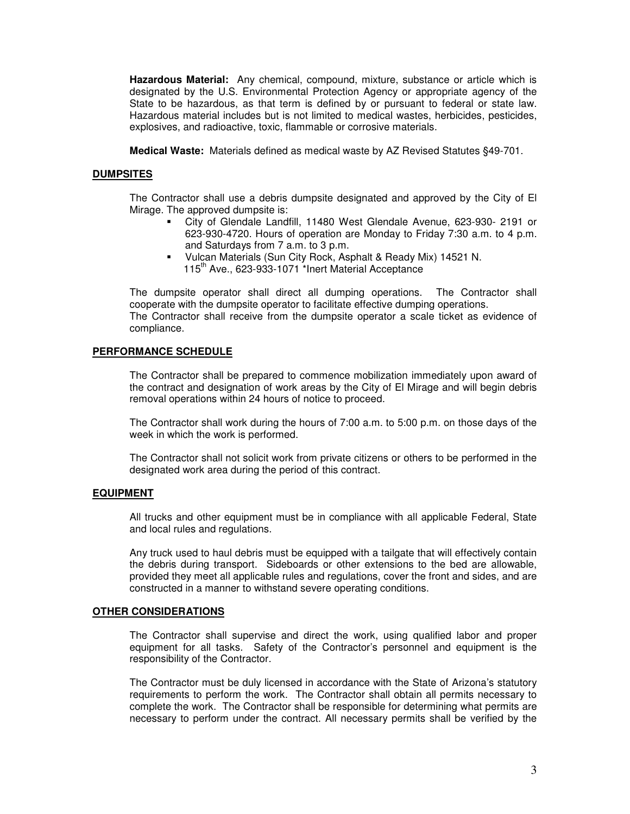**Hazardous Material:** Any chemical, compound, mixture, substance or article which is designated by the U.S. Environmental Protection Agency or appropriate agency of the State to be hazardous, as that term is defined by or pursuant to federal or state law. Hazardous material includes but is not limited to medical wastes, herbicides, pesticides, explosives, and radioactive, toxic, flammable or corrosive materials.

**Medical Waste:** Materials defined as medical waste by AZ Revised Statutes §49-701.

## **DUMPSITES**

The Contractor shall use a debris dumpsite designated and approved by the City of El Mirage. The approved dumpsite is:

- City of Glendale Landfill, 11480 West Glendale Avenue, 623-930- 2191 or 623-930-4720. Hours of operation are Monday to Friday 7:30 a.m. to 4 p.m. and Saturdays from 7 a.m. to 3 p.m.
- Vulcan Materials (Sun City Rock, Asphalt & Ready Mix) 14521 N. 115<sup>th</sup> Ave., 623-933-1071<sup>\*</sup>Inert Material Acceptance

The dumpsite operator shall direct all dumping operations. The Contractor shall cooperate with the dumpsite operator to facilitate effective dumping operations. The Contractor shall receive from the dumpsite operator a scale ticket as evidence of compliance.

### **PERFORMANCE SCHEDULE**

The Contractor shall be prepared to commence mobilization immediately upon award of the contract and designation of work areas by the City of El Mirage and will begin debris removal operations within 24 hours of notice to proceed.

The Contractor shall work during the hours of 7:00 a.m. to 5:00 p.m. on those days of the week in which the work is performed.

The Contractor shall not solicit work from private citizens or others to be performed in the designated work area during the period of this contract.

### **EQUIPMENT**

All trucks and other equipment must be in compliance with all applicable Federal, State and local rules and regulations.

Any truck used to haul debris must be equipped with a tailgate that will effectively contain the debris during transport. Sideboards or other extensions to the bed are allowable, provided they meet all applicable rules and regulations, cover the front and sides, and are constructed in a manner to withstand severe operating conditions.

#### **OTHER CONSIDERATIONS**

The Contractor shall supervise and direct the work, using qualified labor and proper equipment for all tasks. Safety of the Contractor's personnel and equipment is the responsibility of the Contractor.

The Contractor must be duly licensed in accordance with the State of Arizona's statutory requirements to perform the work. The Contractor shall obtain all permits necessary to complete the work. The Contractor shall be responsible for determining what permits are necessary to perform under the contract. All necessary permits shall be verified by the